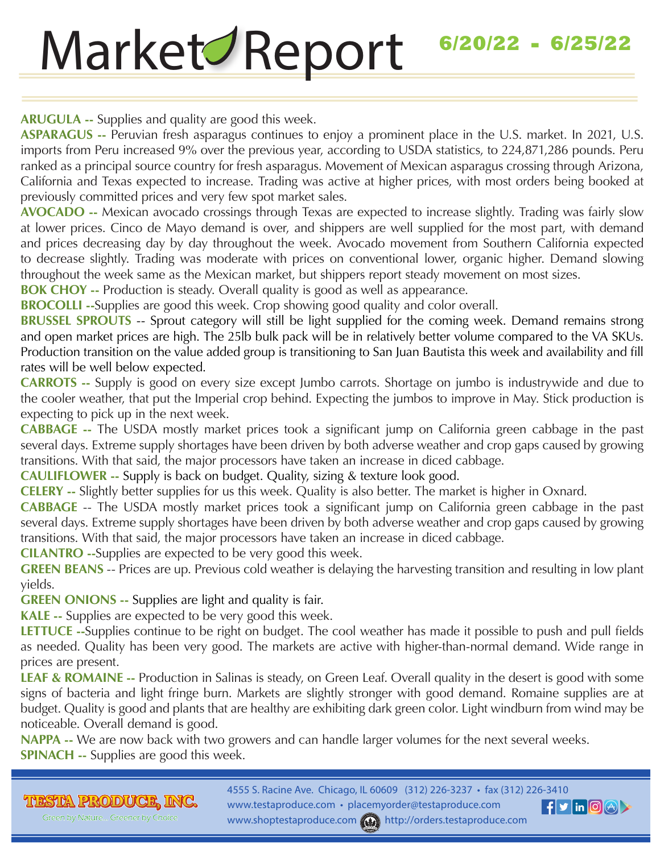# 1/18/21 — 1/23/21 **6/20/22 - 6/25/22**Market Report

**ARUGULA --** Supplies and quality are good this week.

**ASPARAGUS --** Peruvian fresh asparagus continues to enjoy a prominent place in the U.S. market. In 2021, U.S. imports from Peru increased 9% over the previous year, according to USDA statistics, to 224,871,286 pounds. Peru ranked as a principal source country for fresh asparagus. Movement of Mexican asparagus crossing through Arizona, California and Texas expected to increase. Trading was active at higher prices, with most orders being booked at previously committed prices and very few spot market sales.

**AVOCADO --** Mexican avocado crossings through Texas are expected to increase slightly. Trading was fairly slow at lower prices. Cinco de Mayo demand is over, and shippers are well supplied for the most part, with demand and prices decreasing day by day throughout the week. Avocado movement from Southern California expected to decrease slightly. Trading was moderate with prices on conventional lower, organic higher. Demand slowing throughout the week same as the Mexican market, but shippers report steady movement on most sizes.

**BOK CHOY** -- Production is steady. Overall quality is good as well as appearance.

**BROCOLLI --**Supplies are good this week. Crop showing good quality and color overall.

**BRUSSEL SPROUTS** -- Sprout category will still be light supplied for the coming week. Demand remains strong and open market prices are high. The 25lb bulk pack will be in relatively better volume compared to the VA SKUs. Production transition on the value added group is transitioning to San Juan Bautista this week and availability and fill rates will be well below expected.

**CARROTS --** Supply is good on every size except Jumbo carrots. Shortage on jumbo is industrywide and due to the cooler weather, that put the Imperial crop behind. Expecting the jumbos to improve in May. Stick production is expecting to pick up in the next week.

**CABBAGE --** The USDA mostly market prices took a significant jump on California green cabbage in the past several days. Extreme supply shortages have been driven by both adverse weather and crop gaps caused by growing transitions. With that said, the major processors have taken an increase in diced cabbage.

**CAULIFLOWER --** Supply is back on budget. Quality, sizing & texture look good.

**CELERY --** Slightly better supplies for us this week. Quality is also better. The market is higher in Oxnard.

**CABBAGE** -- The USDA mostly market prices took a significant jump on California green cabbage in the past several days. Extreme supply shortages have been driven by both adverse weather and crop gaps caused by growing transitions. With that said, the major processors have taken an increase in diced cabbage.

**CILANTRO --**Supplies are expected to be very good this week.

**GREEN BEANS** -- Prices are up. Previous cold weather is delaying the harvesting transition and resulting in low plant yields.

**GREEN ONIONS --** Supplies are light and quality is fair.

**KALE --** Supplies are expected to be very good this week.

**LETTUCE --**Supplies continue to be right on budget. The cool weather has made it possible to push and pull fields as needed. Quality has been very good. The markets are active with higher-than-normal demand. Wide range in prices are present.

**LEAF & ROMAINE --** Production in Salinas is steady, on Green Leaf. Overall quality in the desert is good with some signs of bacteria and light fringe burn. Markets are slightly stronger with good demand. Romaine supplies are at budget. Quality is good and plants that are healthy are exhibiting dark green color. Light windburn from wind may be noticeable. Overall demand is good.

**NAPPA --** We are now back with two growers and can handle larger volumes for the next several weeks. **SPINACH --** Supplies are good this week.

**THESTEA PRODUCE, INC.** Green by Nature... Greener by Choice

4555 S. Racine Ave. Chicago, IL 60609 (312) 226-3237 • fax (312) 226-3410 www.testaproduce.com • placemyorder@testaproduce.com www.shoptestaproduce.com (+) http://orders.testaproduce.com

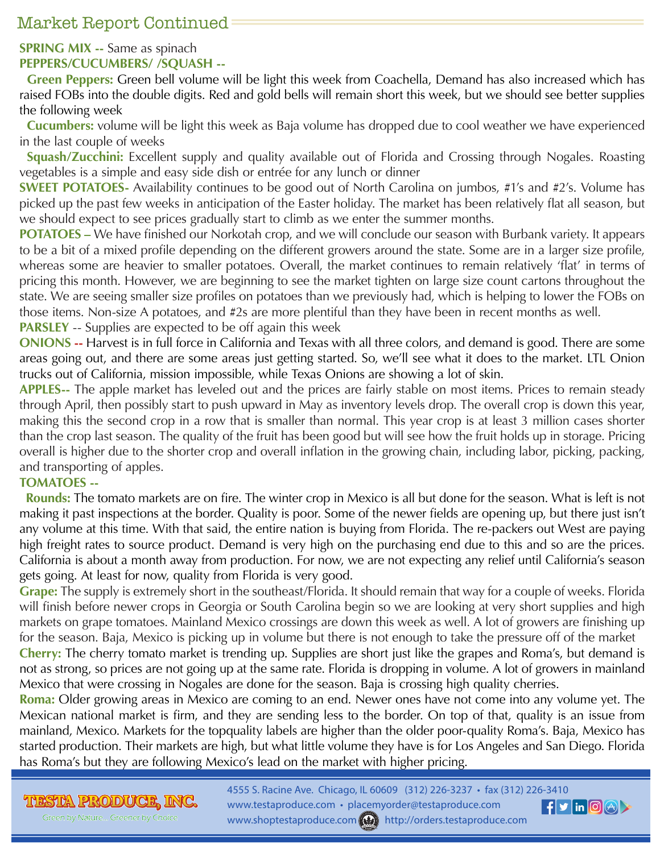## Market Report Continued

### **SPRING MIX --** Same as spinach **PEPPERS/CUCUMBERS/ /SQUASH --**

**Green Peppers:** Green bell volume will be light this week from Coachella, Demand has also increased which has raised FOBs into the double digits. Red and gold bells will remain short this week, but we should see better supplies the following week

**Cucumbers:** volume will be light this week as Baja volume has dropped due to cool weather we have experienced in the last couple of weeks

**Squash/Zucchini:** Excellent supply and quality available out of Florida and Crossing through Nogales. Roasting vegetables is a simple and easy side dish or entrée for any lunch or dinner

**SWEET POTATOES-** Availability continues to be good out of North Carolina on jumbos, #1's and #2's. Volume has picked up the past few weeks in anticipation of the Easter holiday. The market has been relatively flat all season, but we should expect to see prices gradually start to climb as we enter the summer months.

**POTATOES** – We have finished our Norkotah crop, and we will conclude our season with Burbank variety. It appears to be a bit of a mixed profile depending on the different growers around the state. Some are in a larger size profile, whereas some are heavier to smaller potatoes. Overall, the market continues to remain relatively 'flat' in terms of pricing this month. However, we are beginning to see the market tighten on large size count cartons throughout the state. We are seeing smaller size profiles on potatoes than we previously had, which is helping to lower the FOBs on those items. Non-size A potatoes, and #2s are more plentiful than they have been in recent months as well.

**PARSLEY** -- Supplies are expected to be off again this week

**ONIONS --** Harvest is in full force in California and Texas with all three colors, and demand is good. There are some areas going out, and there are some areas just getting started. So, we'll see what it does to the market. LTL Onion trucks out of California, mission impossible, while Texas Onions are showing a lot of skin.

**APPLES--** The apple market has leveled out and the prices are fairly stable on most items. Prices to remain steady through April, then possibly start to push upward in May as inventory levels drop. The overall crop is down this year, making this the second crop in a row that is smaller than normal. This year crop is at least 3 million cases shorter than the crop last season. The quality of the fruit has been good but will see how the fruit holds up in storage. Pricing overall is higher due to the shorter crop and overall inflation in the growing chain, including labor, picking, packing, and transporting of apples.

#### **TOMATOES --**

 **Rounds:** The tomato markets are on fire. The winter crop in Mexico is all but done for the season. What is left is not making it past inspections at the border. Quality is poor. Some of the newer fields are opening up, but there just isn't any volume at this time. With that said, the entire nation is buying from Florida. The re-packers out West are paying high freight rates to source product. Demand is very high on the purchasing end due to this and so are the prices. California is about a month away from production. For now, we are not expecting any relief until California's season gets going. At least for now, quality from Florida is very good.

**Grape:** The supply is extremely short in the southeast/Florida. It should remain that way for a couple of weeks. Florida will finish before newer crops in Georgia or South Carolina begin so we are looking at very short supplies and high markets on grape tomatoes. Mainland Mexico crossings are down this week as well. A lot of growers are finishing up for the season. Baja, Mexico is picking up in volume but there is not enough to take the pressure off of the market **Cherry:** The cherry tomato market is trending up. Supplies are short just like the grapes and Roma's, but demand is not as strong, so prices are not going up at the same rate. Florida is dropping in volume. A lot of growers in mainland Mexico that were crossing in Nogales are done for the season. Baja is crossing high quality cherries.

**Roma:** Older growing areas in Mexico are coming to an end. Newer ones have not come into any volume yet. The Mexican national market is firm, and they are sending less to the border. On top of that, quality is an issue from mainland, Mexico. Markets for the topquality labels are higher than the older poor-quality Roma's. Baja, Mexico has started production. Their markets are high, but what little volume they have is for Los Angeles and San Diego. Florida has Roma's but they are following Mexico's lead on the market with higher pricing.

THESTEA PRODUCE, INC.

Green by Nature... Greener by Choice

4555 S. Racine Ave. Chicago, IL 60609 (312) 226-3237 • fax (312) 226-3410 www.testaproduce.com • placemyorder@testaproduce.com  $\left| \textbf{f} \right|$  in  $\left| \textbf{0} \right| \odot \left| \textbf{0} \right|$ www.shoptestaproduce.com www.shoptestaproduce.com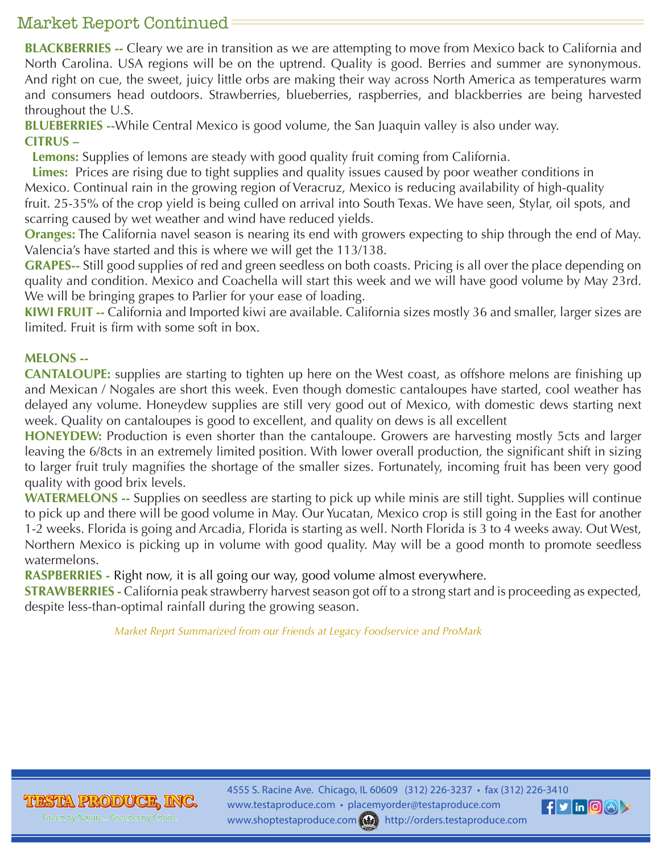## Market Report Continued

**BLACKBERRIES --** Cleary we are in transition as we are attempting to move from Mexico back to California and North Carolina. USA regions will be on the uptrend. Quality is good. Berries and summer are synonymous. And right on cue, the sweet, juicy little orbs are making their way across North America as temperatures warm and consumers head outdoors. Strawberries, blueberries, raspberries, and blackberries are being harvested throughout the U.S.

**BLUEBERRIES --**While Central Mexico is good volume, the San Juaquin valley is also under way. **CITRUS –**

**Lemons:** Supplies of lemons are steady with good quality fruit coming from California.

**Limes:** Prices are rising due to tight supplies and quality issues caused by poor weather conditions in Mexico. Continual rain in the growing region of Veracruz, Mexico is reducing availability of high-quality fruit. 25-35% of the crop yield is being culled on arrival into South Texas. We have seen, Stylar, oil spots, and scarring caused by wet weather and wind have reduced yields.

**Oranges:** The California navel season is nearing its end with growers expecting to ship through the end of May. Valencia's have started and this is where we will get the 113/138.

**GRAPES--** Still good supplies of red and green seedless on both coasts. Pricing is all over the place depending on quality and condition. Mexico and Coachella will start this week and we will have good volume by May 23rd. We will be bringing grapes to Parlier for your ease of loading.

**KIWI FRUIT --** California and Imported kiwi are available. California sizes mostly 36 and smaller, larger sizes are limited. Fruit is firm with some soft in box.

#### **MELONS --**

**CANTALOUPE:** supplies are starting to tighten up here on the West coast, as offshore melons are finishing up and Mexican / Nogales are short this week. Even though domestic cantaloupes have started, cool weather has delayed any volume. Honeydew supplies are still very good out of Mexico, with domestic dews starting next week. Quality on cantaloupes is good to excellent, and quality on dews is all excellent

**HONEYDEW:** Production is even shorter than the cantaloupe. Growers are harvesting mostly 5cts and larger leaving the 6/8cts in an extremely limited position. With lower overall production, the significant shift in sizing to larger fruit truly magnifies the shortage of the smaller sizes. Fortunately, incoming fruit has been very good quality with good brix levels.

**WATERMELONS --** Supplies on seedless are starting to pick up while minis are still tight. Supplies will continue to pick up and there will be good volume in May. Our Yucatan, Mexico crop is still going in the East for another 1-2 weeks. Florida is going and Arcadia, Florida is starting as well. North Florida is 3 to 4 weeks away. Out West, Northern Mexico is picking up in volume with good quality. May will be a good month to promote seedless watermelons.

**RASPBERRIES -** Right now, it is all going our way, good volume almost everywhere.

**STRAWBERRIES -** California peak strawberry harvest season got off to a strong start and is proceeding as expected, despite less-than-optimal rainfall during the growing season.

 *Market Reprt Summarized from our Friends at Legacy Foodservice and ProMark* 

**TIESTA PRODUCE** 

4555 S. Racine Ave. Chicago, IL 60609 (312) 226-3237 • fax (312) 226-3410 www.testaproduce.com • placemyorder@testaproduce.com www.shoptestaproduce.com will http://orders.testaproduce.com